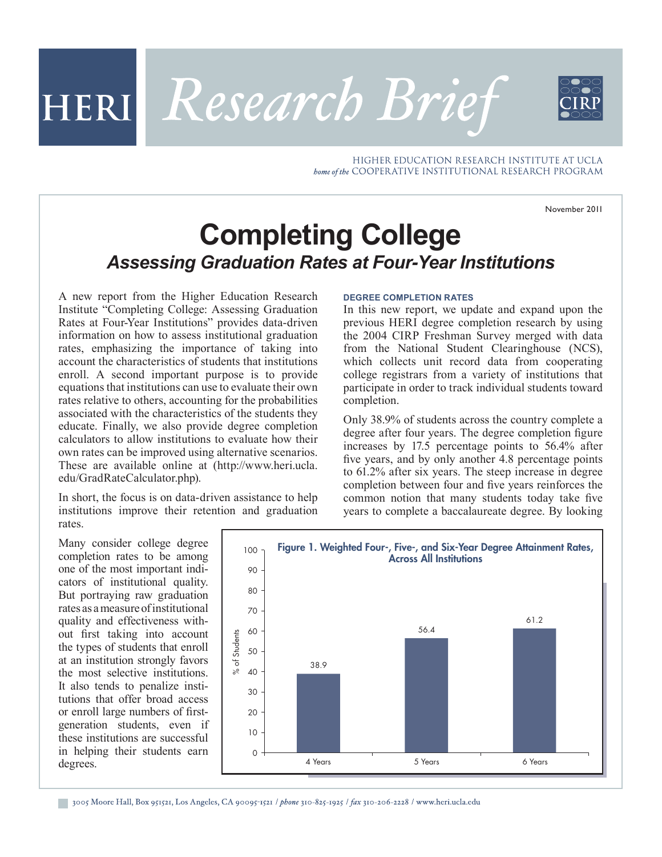November 2011

# **Completing College** *Assessing Graduation Rates at Four-Year Institutions*

HERI Research Brief

A new report from the Higher Education Research Institute "Completing College: Assessing Graduation Rates at Four-Year Institutions" provides data-driven information on how to assess institutional graduation rates, emphasizing the importance of taking into account the characteristics of students that institutions enroll. A second important purpose is to provide equations that institutions can use to evaluate their own rates relative to others, accounting for the probabilities associated with the characteristics of the students they educate. Finally, we also provide degree completion calculators to allow institutions to evaluate how their own rates can be improved using alternative scenarios. These are available online at (http://www.heri.ucla. edu/GradRateCalculator.php).

In short, the focus is on data-driven assistance to help institutions improve their retention and graduation rates.

Many consider college degree completion rates to be among one of the most important indicators of institutional quality. But portraying raw graduation rates as a measure of institutional quality and effectiveness without first taking into account the types of students that enroll at an institution strongly favors the most selective institutions. It also tends to penalize institutions that offer broad access or enroll large numbers of firstgeneration students, even if these institutions are successful in helping their students earn degrees.



**DEGREE COMPLETION RATES**

In this new report, we update and expand upon the previous HERI degree completion research by using the 2004 CIRP Freshman Survey merged with data from the National Student Clearinghouse (NCS), which collects unit record data from cooperating college registrars from a variety of institutions that participate in order to track individual students toward completion.

HIGHER EDUCATION RESEARCH INSTITUTE AT UCLA

bome of the COOPERATIVE INSTITUTIONAL RESEARCH PROGRAM

Only 38.9% of students across the country complete a degree after four years. The degree completion figure increases by 17.5 percentage points to 56.4% after five years, and by only another 4.8 percentage points to 61.2% after six years. The steep increase in degree completion between four and five years reinforces the common notion that many students today take five years to complete a baccalaureate degree. By looking

3005 Moore Hall, Box 951521, Los Angeles, CA 90095-1521 / phone 310-825-1925 / fax 310-206-2228 / www.heri.ucla.edu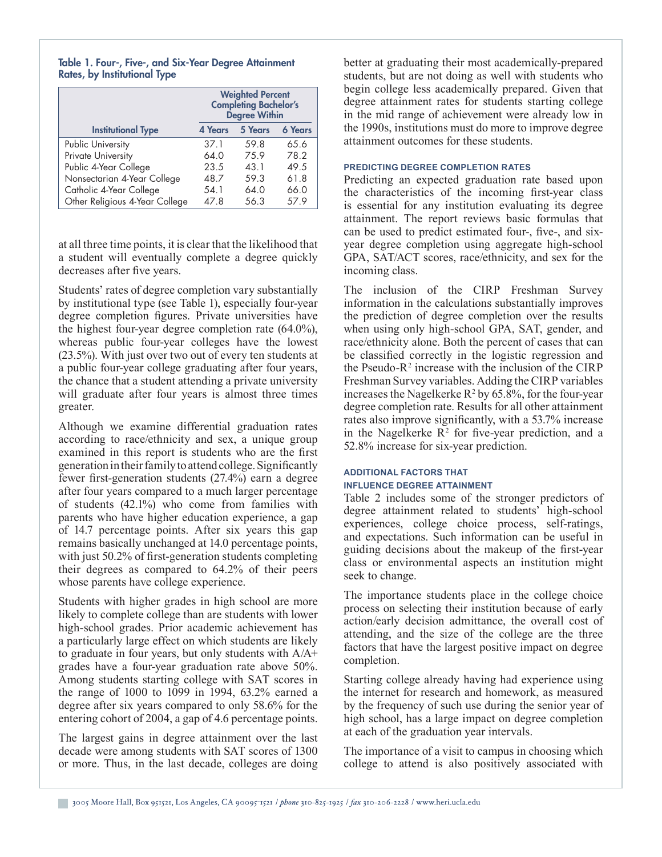## Table 1. Four-, Five-, and Six-Year Degree Attainment Rates, by Institutional Type

|                                | <b>Weighted Percent</b><br><b>Completing Bachelor's</b><br>Degree Within |         |                |
|--------------------------------|--------------------------------------------------------------------------|---------|----------------|
| <b>Institutional Type</b>      | 4 Years                                                                  | 5 Years | <b>6 Years</b> |
| Public University              | 37.1                                                                     | 59.8    | 65.6           |
| Private University             | 64.0                                                                     | 75.9    | 78.2           |
| Public 4-Year College          | 23.5                                                                     | 43.1    | 49.5           |
| Nonsectarian 4-Year College    | 48.7                                                                     | 59.3    | 61.8           |
| Catholic 4-Year College        | 54.1                                                                     | 64.0    | 66.0           |
| Other Religious 4-Year College | 47.8                                                                     | 56.3    | 57.9           |

at all three time points, it is clear that the likelihood that a student will eventually complete a degree quickly decreases after five years.

Students' rates of degree completion vary substantially by institutional type (see Table 1), especially four-year degree completion figures. Private universities have the highest four-year degree completion rate (64.0%), whereas public four-year colleges have the lowest (23.5%). With just over two out of every ten students at a public four-year college graduating after four years, the chance that a student attending a private university will graduate after four years is almost three times greater.

Although we examine differential graduation rates according to race/ethnicity and sex, a unique group examined in this report is students who are the first generation in their family to attend college. Significantly fewer first-generation students (27.4%) earn a degree after four years compared to a much larger percentage of students (42.1%) who come from families with parents who have higher education experience, a gap of 14.7 percentage points. After six years this gap remains basically unchanged at 14.0 percentage points, with just 50.2% of first-generation students completing their degrees as compared to 64.2% of their peers whose parents have college experience.

Students with higher grades in high school are more likely to complete college than are students with lower high-school grades. Prior academic achievement has a particularly large effect on which students are likely to graduate in four years, but only students with A/A+ grades have a four-year graduation rate above 50%. Among students starting college with SAT scores in the range of 1000 to 1099 in 1994, 63.2% earned a degree after six years compared to only 58.6% for the entering cohort of 2004, a gap of 4.6 percentage points.

The largest gains in degree attainment over the last decade were among students with SAT scores of 1300 or more. Thus, in the last decade, colleges are doing better at graduating their most academically-prepared students, but are not doing as well with students who begin college less academically prepared. Given that degree attainment rates for students starting college in the mid range of achievement were already low in the 1990s, institutions must do more to improve degree attainment outcomes for these students.

## **PREDICTING DEGREE COMPLETION RATES**

Predicting an expected graduation rate based upon the characteristics of the incoming first-year class is essential for any institution evaluating its degree attainment. The report reviews basic formulas that can be used to predict estimated four-, five-, and sixyear degree completion using aggregate high-school GPA, SAT/ACT scores, race/ethnicity, and sex for the incoming class.

The inclusion of the CIRP Freshman Survey information in the calculations substantially improves the prediction of degree completion over the results when using only high-school GPA, SAT, gender, and race/ethnicity alone. Both the percent of cases that can be classified correctly in the logistic regression and the Pseudo- $R^2$  increase with the inclusion of the CIRP Freshman Survey variables. Adding the CIRP variables increases the Nagelkerke  $R^2$  by 65.8%, for the four-year degree completion rate. Results for all other attainment rates also improve significantly, with a 53.7% increase in the Nagelkerke  $\mathbb{R}^2$  for five-year prediction, and a 52.8% increase for six-year prediction.

# **ADDITIONAL FACTORS THAT INFLUENCE DEGREE ATTAINMENT**

Table 2 includes some of the stronger predictors of degree attainment related to students' high-school experiences, college choice process, self-ratings, and expectations. Such information can be useful in guiding decisions about the makeup of the first-year class or environmental aspects an institution might seek to change.

The importance students place in the college choice process on selecting their institution because of early action/early decision admittance, the overall cost of attending, and the size of the college are the three factors that have the largest positive impact on degree completion.

Starting college already having had experience using the internet for research and homework, as measured by the frequency of such use during the senior year of high school, has a large impact on degree completion at each of the graduation year intervals.

The importance of a visit to campus in choosing which college to attend is also positively associated with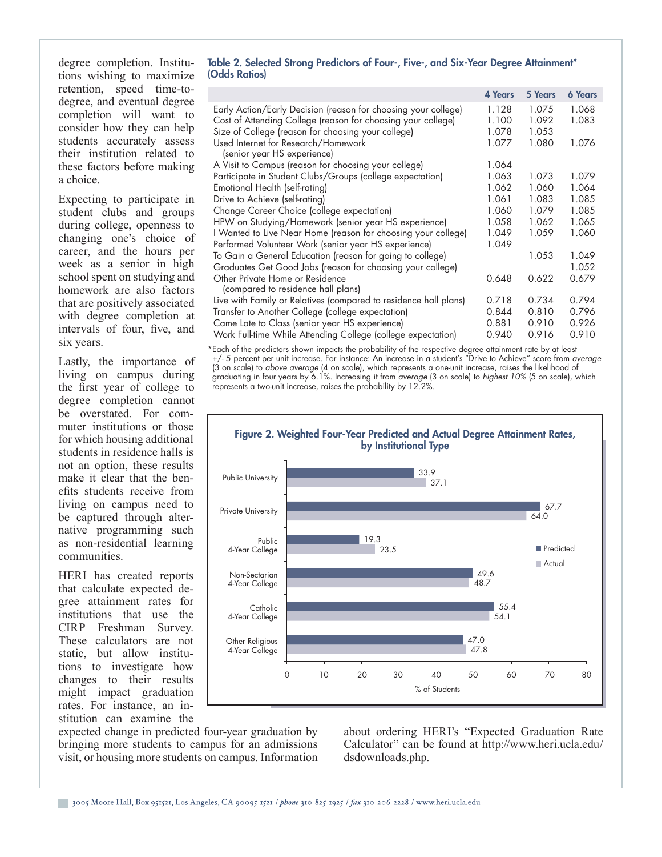degree completion. Institutions wishing to maximize retention, speed time-todegree, and eventual degree completion will want to consider how they can help students accurately assess their institution related to these factors before making a choice.

Expecting to participate in student clubs and groups during college, openness to changing one's choice of career, and the hours per week as a senior in high school spent on studying and homework are also factors that are positively associated with degree completion at intervals of four, five, and six years.

Lastly, the importance of living on campus during the first year of college to degree completion cannot be overstated. For commuter institutions or those for which housing additional students in residence halls is not an option, these results make it clear that the benefits students receive from living on campus need to be captured through alternative programming such as non-residential learning communities.

HERI has created reports that calculate expected degree attainment rates for institutions that use the CIRP Freshman Survey. These calculators are not static, but allow institutions to investigate how changes to their results might impact graduation rates. For instance, an institution can examine the

# Table 2. Selected Strong Predictors of Four-, Five-, and Six-Year Degree Attainment\* (Odds Ratios)

|                                                                       | <b>4 Years</b> | 5 Years | <b>6 Years</b> |
|-----------------------------------------------------------------------|----------------|---------|----------------|
| Early Action/Early Decision (reason for choosing your college)        | 1.128          | 1.075   | 1.068          |
| Cost of Attending College (reason for choosing your college)          | 1.100          | 1.092   | 1.083          |
| Size of College (reason for choosing your college)                    | 1.078          | 1.053   |                |
| Used Internet for Research/Homework<br>(senior year HS experience)    | 1.077          | 1.080   | 1.076          |
| A Visit to Campus (reason for choosing your college)                  | 1.064          |         |                |
| Participate in Student Clubs/Groups (college expectation)             | 1.063          | 1.073   | 1.079          |
| Emotional Health (self-rating)                                        | 1.062          | 1.060   | 1.064          |
| Drive to Achieve (self-rating)                                        | 1.061          | 1.083   | 1.085          |
| Change Career Choice (college expectation)                            | 1.060          | 1.079   | 1.085          |
| HPW on Studying/Homework (senior year HS experience)                  | 1.058          | 1.062   | 1.065          |
| I Wanted to Live Near Home (reason for choosing your college)         | 1.049          | 1.059   | 1.060          |
| Performed Volunteer Work (senior year HS experience)                  | 1.049          |         |                |
| To Gain a General Education (reason for going to college)             |                | 1.053   | 1.049          |
| Graduates Get Good Jobs (reason for choosing your college)            |                |         | 1.052          |
| Other Private Home or Residence<br>(compared to residence hall plans) | 0.648          | 0.622   | 0.679          |
| Live with Family or Relatives (compared to residence hall plans)      | 0.718          | 0.734   | 0.794          |
| Transfer to Another College (college expectation)                     | 0.844          | 0.810   | 0.796          |
| Came Late to Class (senior year HS experience)                        | 0.881          | 0.910   | 0.926          |
| Work Full-time While Attending College (college expectation)          | 0.940          | 0.916   | 0.910          |

\*Each of the predictors shown impacts the probability of the respective degree attainment rate by at least +/- 5 percent per unit increase. For instance: An increase in a student's "Drive to Achieve" score from *average* (3 on scale) to *above average* (4 on scale), which represents a one-unit increase, raises the likelihood of graduating in four years by 6.1%. Increasing it from *average* (3 on scale) to *highest 10%* (5 on scale), which represents a two-unit increase, raises the probability by 12.2%.



expected change in predicted four-year graduation by bringing more students to campus for an admissions visit, or housing more students on campus. Information about ordering HERI's "Expected Graduation Rate Calculator" can be found at http://www.heri.ucla.edu/ dsdownloads.php.